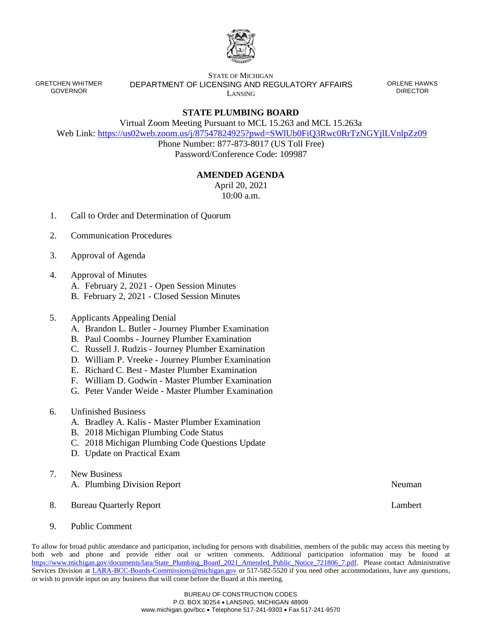

GRETCHEN WHITMER GOVERNOR

STATE OF MICHIGAN DEPARTMENT OF LICENSING AND REGULATORY AFFAIRS LANSING

ORLENE HAWKS DIRECTOR

## **STATE PLUMBING BOARD**

Virtual Zoom Meeting Pursuant to MCL 15.263 and MCL 15.263a

Web Link: <https://us02web.zoom.us/j/87547824925?pwd=SWlUb0FiQ3Rwc0RrTzNGYjlLVnlpZz09>

Phone Number: 877-873-8017 (US Toll Free) Password/Conference Code: 109987

## **AMENDED AGENDA**

April 20, 2021 10:00 a.m.

- 1. Call to Order and Determination of Quorum
- 2. Communication Procedures
- 3. Approval of Agenda
- 4. Approval of Minutes
	- A. February 2, 2021 Open Session Minutes
	- B. February 2, 2021 Closed Session Minutes
- 5. Applicants Appealing Denial
	- A. Brandon L. Butler Journey Plumber Examination
	- B. Paul Coombs Journey Plumber Examination
	- C. Russell J. Rudzis Journey Plumber Examination
	- D. William P. Vreeke Journey Plumber Examination
	- E. Richard C. Best Master Plumber Examination
	- F. William D. Godwin Master Plumber Examination
	- G. Peter Vander Weide Master Plumber Examination
- 6. Unfinished Business
	- A. Bradley A. Kalis Master Plumber Examination
	- B. 2018 Michigan Plumbing Code Status
	- C. 2018 Michigan Plumbing Code Questions Update
	- D. Update on Practical Exam
- 7. New Business A. Plumbing Division Report Neuman
- 8. Bureau Quarterly Report Lambert
- 9. Public Comment

To allow for broad public attendance and participation, including for persons with disabilities, members of the public may access this meeting by both web and phone and provide either oral or written comments. Additional participation information may be found at [https://www.michigan.gov/documents/lara/State\\_Plumbing\\_Board\\_2021\\_Amended\\_Public\\_Notice\\_721806\\_7.pdf.](https://www.michigan.gov/documents/lara/State_Plumbing_Board_2021_Amended_Public_Notice_721806_7.pdf) Please contact Administrative Services Division at [LARA-BCC-Boards-Commissions@michigan.gov](mailto:LARA-BCC-Boards-Commissions@michigan.gov) or 517-582-5520 if you need other accommodations, have any questions, or wish to provide input on any business that will come before the Board at this meeting.